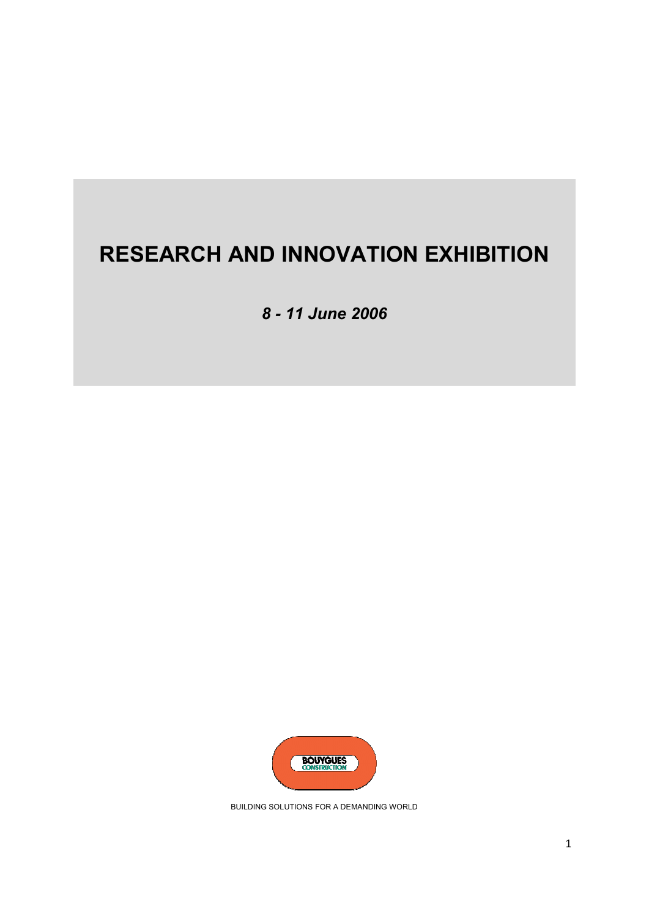# **RESEARCH AND INNOVATION EXHIBITION**

*8 - 11 June 2006*



BUILDING SOLUTIONS FOR A DEMANDING WORLD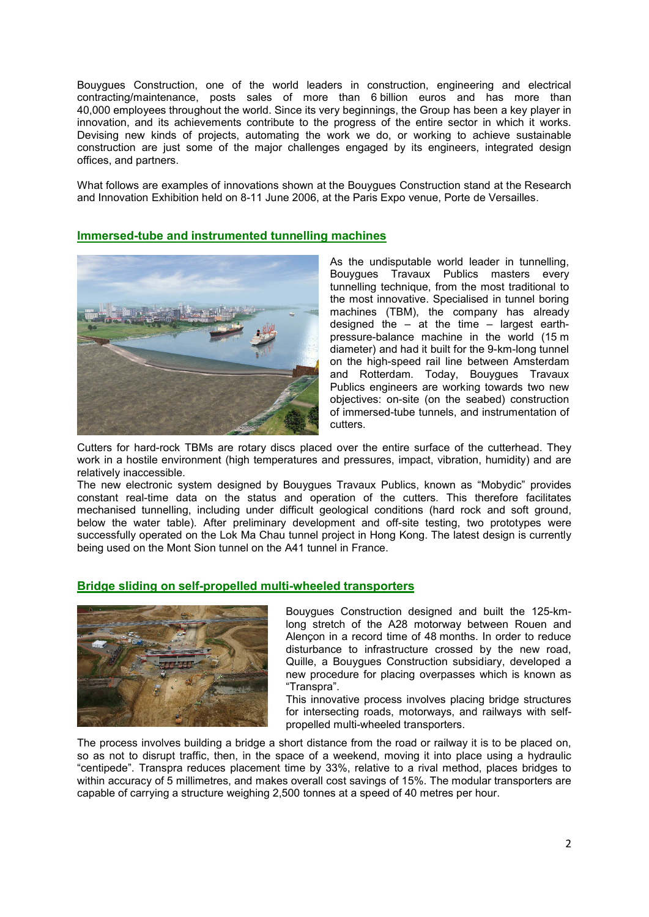Bouygues Construction, one of the world leaders in construction, engineering and electrical contracting/maintenance, posts sales of more than 6 billion euros and has more than 40,000 employees throughout the world. Since its very beginnings, the Group has been a key player in innovation, and its achievements contribute to the progress of the entire sector in which it works. Devising new kinds of projects, automating the work we do, or working to achieve sustainable construction are just some of the major challenges engaged by its engineers, integrated design offices, and partners.

What follows are examples of innovations shown at the Bouygues Construction stand at the Research and Innovation Exhibition held on 8-11 June 2006, at the Paris Expo venue, Porte de Versailles.

# **Immersed-tube and instrumented tunnelling machines**



As the undisputable world leader in tunnelling, Bouygues Travaux Publics masters every tunnelling technique, from the most traditional to the most innovative. Specialised in tunnel boring machines (TBM), the company has already designed the – at the time – largest earthpressure-balance machine in the world (15 m diameter) and had it built for the 9-km-long tunnel on the high-speed rail line between Amsterdam and Rotterdam. Today, Bouygues Travaux Publics engineers are working towards two new objectives: on-site (on the seabed) construction of immersed-tube tunnels, and instrumentation of cutters.

Cutters for hard-rock TBMs are rotary discs placed over the entire surface of the cutterhead. They work in a hostile environment (high temperatures and pressures, impact, vibration, humidity) and are relatively inaccessible.

The new electronic system designed by Bouygues Travaux Publics, known as "Mobydic" provides constant real-time data on the status and operation of the cutters. This therefore facilitates mechanised tunnelling, including under difficult geological conditions (hard rock and soft ground, below the water table). After preliminary development and off-site testing, two prototypes were successfully operated on the Lok Ma Chau tunnel project in Hong Kong. The latest design is currently being used on the Mont Sion tunnel on the A41 tunnel in France.

## **Bridge sliding on self-propelled multi-wheeled transporters**



Bouygues Construction designed and built the 125-kmlong stretch of the A28 motorway between Rouen and Alençon in a record time of 48 months. In order to reduce disturbance to infrastructure crossed by the new road, Quille, a Bouygues Construction subsidiary, developed a new procedure for placing overpasses which is known as "Transpra".

This innovative process involves placing bridge structures for intersecting roads, motorways, and railways with selfpropelled multi-wheeled transporters.

The process involves building a bridge a short distance from the road or railway it is to be placed on, so as not to disrupt traffic, then, in the space of a weekend, moving it into place using a hydraulic "centipede". Transpra reduces placement time by 33%, relative to a rival method, places bridges to within accuracy of 5 millimetres, and makes overall cost savings of 15%. The modular transporters are capable of carrying a structure weighing 2,500 tonnes at a speed of 40 metres per hour.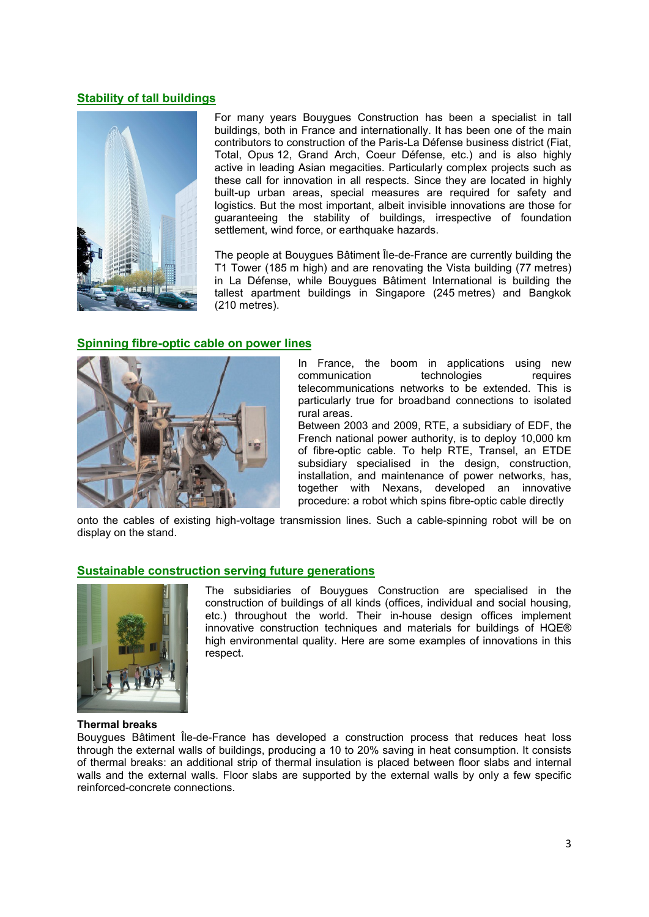# **Stability of tall buildings**



For many years Bouygues Construction has been a specialist in tall buildings, both in France and internationally. It has been one of the main contributors to construction of the Paris-La Défense business district (Fiat, Total, Opus 12, Grand Arch, Coeur Défense, etc.) and is also highly active in leading Asian megacities. Particularly complex projects such as these call for innovation in all respects. Since they are located in highly built-up urban areas, special measures are required for safety and logistics. But the most important, albeit invisible innovations are those for guaranteeing the stability of buildings, irrespective of foundation settlement, wind force, or earthquake hazards.

The people at Bouygues Bâtiment Île-de-France are currently building the T1 Tower (185 m high) and are renovating the Vista building (77 metres) in La Défense, while Bouygues Bâtiment International is building the tallest apartment buildings in Singapore (245 metres) and Bangkok (210 metres).

## **Spinning fibre-optic cable on power lines**



In France, the boom in applications using new communication technologies requires telecommunications networks to be extended. This is particularly true for broadband connections to isolated rural areas.

Between 2003 and 2009, RTE, a subsidiary of EDF, the French national power authority, is to deploy 10,000 km of fibre-optic cable. To help RTE, Transel, an ETDE subsidiary specialised in the design, construction, installation, and maintenance of power networks, has, together with Nexans, developed an innovative procedure: a robot which spins fibre-optic cable directly

onto the cables of existing high-voltage transmission lines. Such a cable-spinning robot will be on display on the stand.

## **Sustainable construction serving future generations**



The subsidiaries of Bouygues Construction are specialised in the construction of buildings of all kinds (offices, individual and social housing, etc.) throughout the world. Their in-house design offices implement innovative construction techniques and materials for buildings of HQE® high environmental quality. Here are some examples of innovations in this respect.

#### **Thermal breaks**

Bouygues Bâtiment Île-de-France has developed a construction process that reduces heat loss through the external walls of buildings, producing a 10 to 20% saving in heat consumption. It consists of thermal breaks: an additional strip of thermal insulation is placed between floor slabs and internal walls and the external walls. Floor slabs are supported by the external walls by only a few specific reinforced-concrete connections.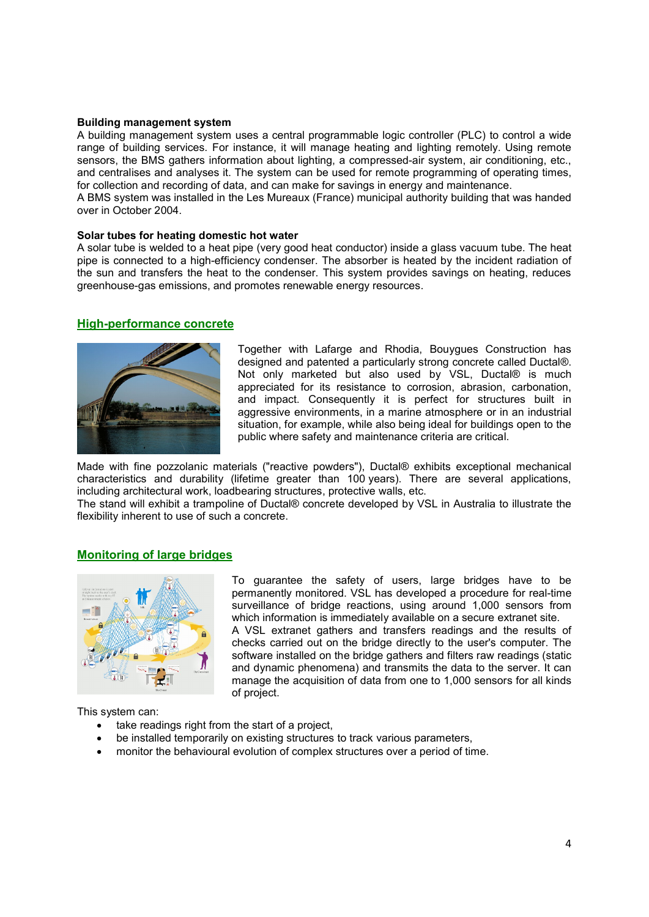#### **Building management system**

A building management system uses a central programmable logic controller (PLC) to control a wide range of building services. For instance, it will manage heating and lighting remotely. Using remote sensors, the BMS gathers information about lighting, a compressed-air system, air conditioning, etc., and centralises and analyses it. The system can be used for remote programming of operating times, for collection and recording of data, and can make for savings in energy and maintenance.

A BMS system was installed in the Les Mureaux (France) municipal authority building that was handed over in October 2004.

#### **Solar tubes for heating domestic hot water**

A solar tube is welded to a heat pipe (very good heat conductor) inside a glass vacuum tube. The heat pipe is connected to a high-efficiency condenser. The absorber is heated by the incident radiation of the sun and transfers the heat to the condenser. This system provides savings on heating, reduces greenhouse-gas emissions, and promotes renewable energy resources.

#### **High-performance concrete**



Together with Lafarge and Rhodia, Bouygues Construction has designed and patented a particularly strong concrete called Ductal®. Not only marketed but also used by VSL, Ductal® is much appreciated for its resistance to corrosion, abrasion, carbonation, and impact. Consequently it is perfect for structures built in aggressive environments, in a marine atmosphere or in an industrial situation, for example, while also being ideal for buildings open to the public where safety and maintenance criteria are critical.

Made with fine pozzolanic materials ("reactive powders"), Ductal® exhibits exceptional mechanical characteristics and durability (lifetime greater than 100 years). There are several applications, including architectural work, loadbearing structures, protective walls, etc.

The stand will exhibit a trampoline of Ductal® concrete developed by VSL in Australia to illustrate the flexibility inherent to use of such a concrete.

## **Monitoring of large bridges**



To guarantee the safety of users, large bridges have to be permanently monitored. VSL has developed a procedure for real-time surveillance of bridge reactions, using around 1,000 sensors from which information is immediately available on a secure extranet site. A VSL extranet gathers and transfers readings and the results of checks carried out on the bridge directly to the user's computer. The software installed on the bridge gathers and filters raw readings (static and dynamic phenomena) and transmits the data to the server. It can manage the acquisition of data from one to 1,000 sensors for all kinds of project.

This system can:

- take readings right from the start of a project,
- be installed temporarily on existing structures to track various parameters,
- monitor the behavioural evolution of complex structures over a period of time.